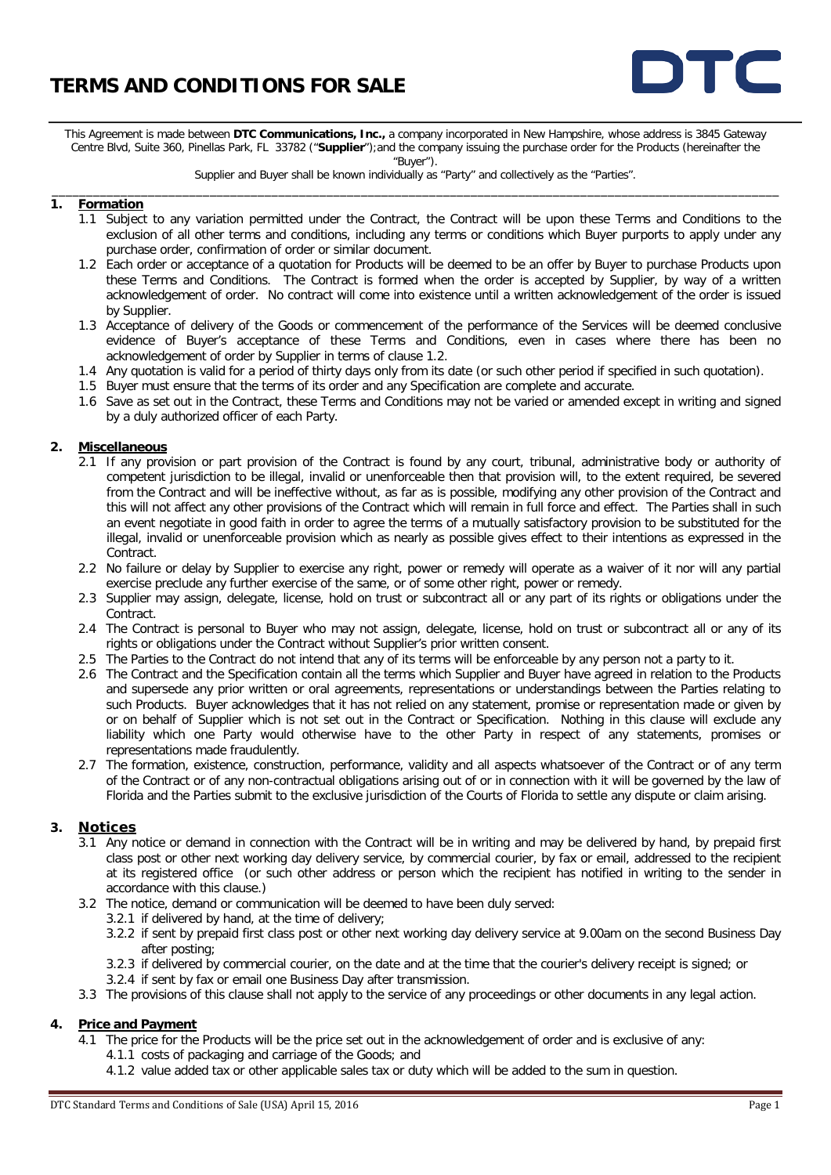

This Agreement is made between **DTC Communications, Inc.,** a company incorporated in New Hampshire, whose address is 3845 Gateway Centre Blvd, Suite 360, Pinellas Park, FL 33782 ("**Supplier**");and the company issuing the purchase order for the Products (hereinafter the

"Buyer").

Supplier and Buyer shall be known individually as "Party" and collectively as the "Parties". \_\_\_\_\_\_\_\_\_\_\_\_\_\_\_\_\_\_\_\_\_\_\_\_\_\_\_\_\_\_\_\_\_\_\_\_\_\_\_\_\_\_\_\_\_\_\_\_\_\_\_\_\_\_\_\_\_\_\_\_\_\_\_\_\_\_\_\_\_\_\_\_\_\_\_\_\_\_\_\_\_\_\_\_\_\_\_\_\_\_\_\_\_\_\_\_\_\_\_\_\_\_\_\_\_\_

#### **1. Formation**

- 1.1 Subject to any variation permitted under the Contract, the Contract will be upon these Terms and Conditions to the exclusion of all other terms and conditions, including any terms or conditions which Buyer purports to apply under any purchase order, confirmation of order or similar document.
- 1.2 Each order or acceptance of a quotation for Products will be deemed to be an offer by Buyer to purchase Products upon these Terms and Conditions. The Contract is formed when the order is accepted by Supplier, by way of a written acknowledgement of order. No contract will come into existence until a written acknowledgement of the order is issued by Supplier.
- 1.3 Acceptance of delivery of the Goods or commencement of the performance of the Services will be deemed conclusive evidence of Buyer's acceptance of these Terms and Conditions, even in cases where there has been no acknowledgement of order by Supplier in terms of clause 1.2.
- 1.4 Any quotation is valid for a period of thirty days only from its date (or such other period if specified in such quotation).
- 1.5 Buyer must ensure that the terms of its order and any Specification are complete and accurate.
- 1.6 Save as set out in the Contract, these Terms and Conditions may not be varied or amended except in writing and signed by a duly authorized officer of each Party.

#### **2. Miscellaneous**

- 2.1 If any provision or part provision of the Contract is found by any court, tribunal, administrative body or authority of competent jurisdiction to be illegal, invalid or unenforceable then that provision will, to the extent required, be severed from the Contract and will be ineffective without, as far as is possible, modifying any other provision of the Contract and this will not affect any other provisions of the Contract which will remain in full force and effect. The Parties shall in such an event negotiate in good faith in order to agree the terms of a mutually satisfactory provision to be substituted for the illegal, invalid or unenforceable provision which as nearly as possible gives effect to their intentions as expressed in the Contract.
- 2.2 No failure or delay by Supplier to exercise any right, power or remedy will operate as a waiver of it nor will any partial exercise preclude any further exercise of the same, or of some other right, power or remedy.
- 2.3 Supplier may assign, delegate, license, hold on trust or subcontract all or any part of its rights or obligations under the Contract.
- 2.4 The Contract is personal to Buyer who may not assign, delegate, license, hold on trust or subcontract all or any of its rights or obligations under the Contract without Supplier's prior written consent.
- 2.5 The Parties to the Contract do not intend that any of its terms will be enforceable by any person not a party to it.
- 2.6 The Contract and the Specification contain all the terms which Supplier and Buyer have agreed in relation to the Products and supersede any prior written or oral agreements, representations or understandings between the Parties relating to such Products. Buyer acknowledges that it has not relied on any statement, promise or representation made or given by or on behalf of Supplier which is not set out in the Contract or Specification. Nothing in this clause will exclude any liability which one Party would otherwise have to the other Party in respect of any statements, promises or representations made fraudulently.
- 2.7 The formation, existence, construction, performance, validity and all aspects whatsoever of the Contract or of any term of the Contract or of any non-contractual obligations arising out of or in connection with it will be governed by the law of Florida and the Parties submit to the exclusive jurisdiction of the Courts of Florida to settle any dispute or claim arising.

### **3. Notices**

- 3.1 Any notice or demand in connection with the Contract will be in writing and may be delivered by hand, by prepaid first class post or other next working day delivery service, by commercial courier, by fax or email, addressed to the recipient at its registered office (or such other address or person which the recipient has notified in writing to the sender in accordance with this clause.)
- 3.2 The notice, demand or communication will be deemed to have been duly served:
	- 3.2.1 if delivered by hand, at the time of delivery;
		- 3.2.2 if sent by prepaid first class post or other next working day delivery service at 9.00am on the second Business Day after posting;
		- 3.2.3 if delivered by commercial courier, on the date and at the time that the courier's delivery receipt is signed; or
	- 3.2.4 if sent by fax or email one Business Day after transmission.
- 3.3 The provisions of this clause shall not apply to the service of any proceedings or other documents in any legal action.

#### **4. Price and Payment**

- 4.1 The price for the Products will be the price set out in the acknowledgement of order and is exclusive of any:
	- 4.1.1 costs of packaging and carriage of the Goods; and
	- 4.1.2 value added tax or other applicable sales tax or duty which will be added to the sum in question.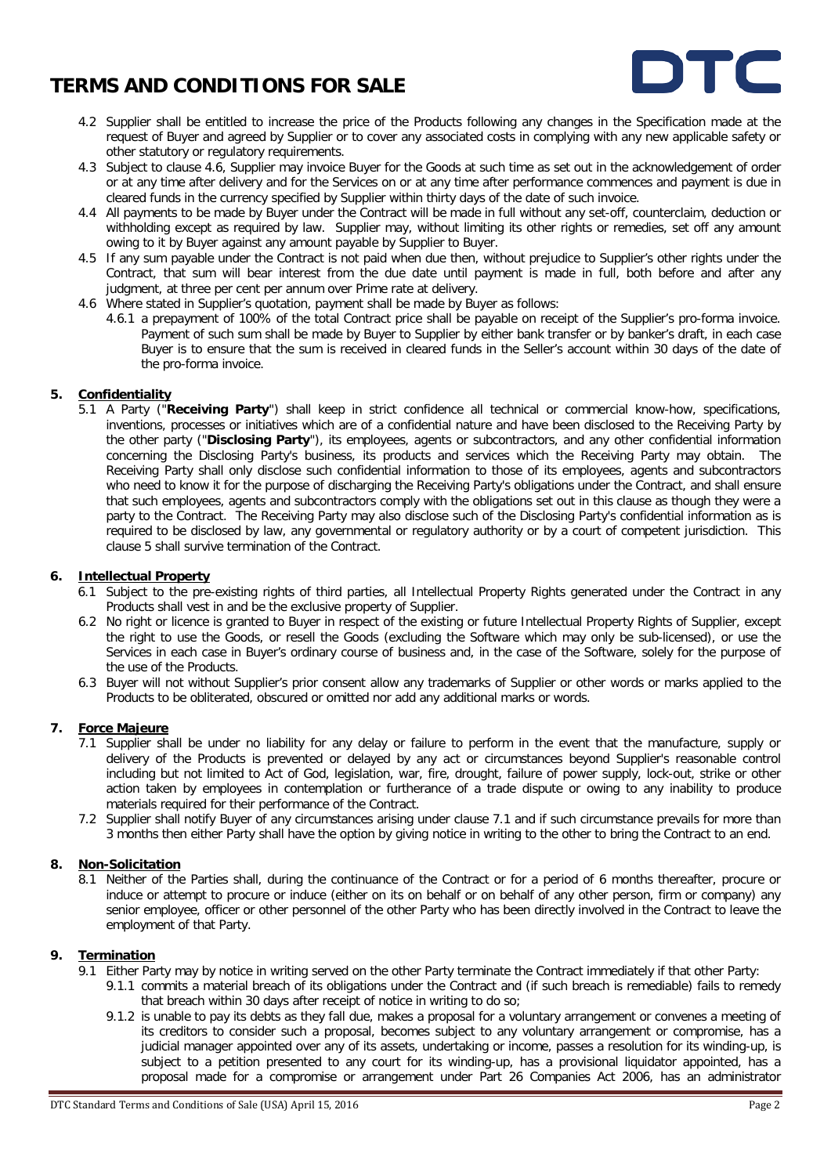

- 4.2 Supplier shall be entitled to increase the price of the Products following any changes in the Specification made at the request of Buyer and agreed by Supplier or to cover any associated costs in complying with any new applicable safety or other statutory or regulatory requirements.
- 4.3 Subject to clause 4.6, Supplier may invoice Buyer for the Goods at such time as set out in the acknowledgement of order or at any time after delivery and for the Services on or at any time after performance commences and payment is due in cleared funds in the currency specified by Supplier within thirty days of the date of such invoice.
- 4.4 All payments to be made by Buyer under the Contract will be made in full without any set-off, counterclaim, deduction or withholding except as required by law. Supplier may, without limiting its other rights or remedies, set off any amount owing to it by Buyer against any amount payable by Supplier to Buyer.
- 4.5 If any sum payable under the Contract is not paid when due then, without prejudice to Supplier's other rights under the Contract, that sum will bear interest from the due date until payment is made in full, both before and after any judgment, at three per cent per annum over Prime rate at delivery.
- 4.6 Where stated in Supplier's quotation, payment shall be made by Buyer as follows:
	- 4.6.1 a prepayment of 100% of the total Contract price shall be payable on receipt of the Supplier's pro-forma invoice. Payment of such sum shall be made by Buyer to Supplier by either bank transfer or by banker's draft, in each case Buyer is to ensure that the sum is received in cleared funds in the Seller's account within 30 days of the date of the pro-forma invoice.

#### **5. Confidentiality**

5.1 A Party ("**Receiving Party**") shall keep in strict confidence all technical or commercial know-how, specifications, inventions, processes or initiatives which are of a confidential nature and have been disclosed to the Receiving Party by the other party ("**Disclosing Party**"), its employees, agents or subcontractors, and any other confidential information concerning the Disclosing Party's business, its products and services which the Receiving Party may obtain. The Receiving Party shall only disclose such confidential information to those of its employees, agents and subcontractors who need to know it for the purpose of discharging the Receiving Party's obligations under the Contract, and shall ensure that such employees, agents and subcontractors comply with the obligations set out in this clause as though they were a party to the Contract. The Receiving Party may also disclose such of the Disclosing Party's confidential information as is required to be disclosed by law, any governmental or regulatory authority or by a court of competent jurisdiction. This clause 5 shall survive termination of the Contract.

#### **6. Intellectual Property**

- 6.1 Subject to the pre-existing rights of third parties, all Intellectual Property Rights generated under the Contract in any Products shall vest in and be the exclusive property of Supplier.
- 6.2 No right or licence is granted to Buyer in respect of the existing or future Intellectual Property Rights of Supplier, except the right to use the Goods, or resell the Goods (excluding the Software which may only be sub-licensed), or use the Services in each case in Buyer's ordinary course of business and, in the case of the Software, solely for the purpose of the use of the Products.
- 6.3 Buyer will not without Supplier's prior consent allow any trademarks of Supplier or other words or marks applied to the Products to be obliterated, obscured or omitted nor add any additional marks or words.

#### **7. Force Majeure**

- 7.1 Supplier shall be under no liability for any delay or failure to perform in the event that the manufacture, supply or delivery of the Products is prevented or delayed by any act or circumstances beyond Supplier's reasonable control including but not limited to Act of God, legislation, war, fire, drought, failure of power supply, lock-out, strike or other action taken by employees in contemplation or furtherance of a trade dispute or owing to any inability to produce materials required for their performance of the Contract.
- 7.2 Supplier shall notify Buyer of any circumstances arising under clause 7.1 and if such circumstance prevails for more than 3 months then either Party shall have the option by giving notice in writing to the other to bring the Contract to an end.

## **8. Non-Solicitation**

8.1 Neither of the Parties shall, during the continuance of the Contract or for a period of 6 months thereafter, procure or induce or attempt to procure or induce (either on its on behalf or on behalf of any other person, firm or company) any senior employee, officer or other personnel of the other Party who has been directly involved in the Contract to leave the employment of that Party.

#### **9. Termination**

- 9.1 Either Party may by notice in writing served on the other Party terminate the Contract immediately if that other Party:
	- 9.1.1 commits a material breach of its obligations under the Contract and (if such breach is remediable) fails to remedy that breach within 30 days after receipt of notice in writing to do so;
	- 9.1.2 is unable to pay its debts as they fall due, makes a proposal for a voluntary arrangement or convenes a meeting of its creditors to consider such a proposal, becomes subject to any voluntary arrangement or compromise, has a judicial manager appointed over any of its assets, undertaking or income, passes a resolution for its winding-up, is subject to a petition presented to any court for its winding-up, has a provisional liquidator appointed, has a proposal made for a compromise or arrangement under Part 26 Companies Act 2006, has an administrator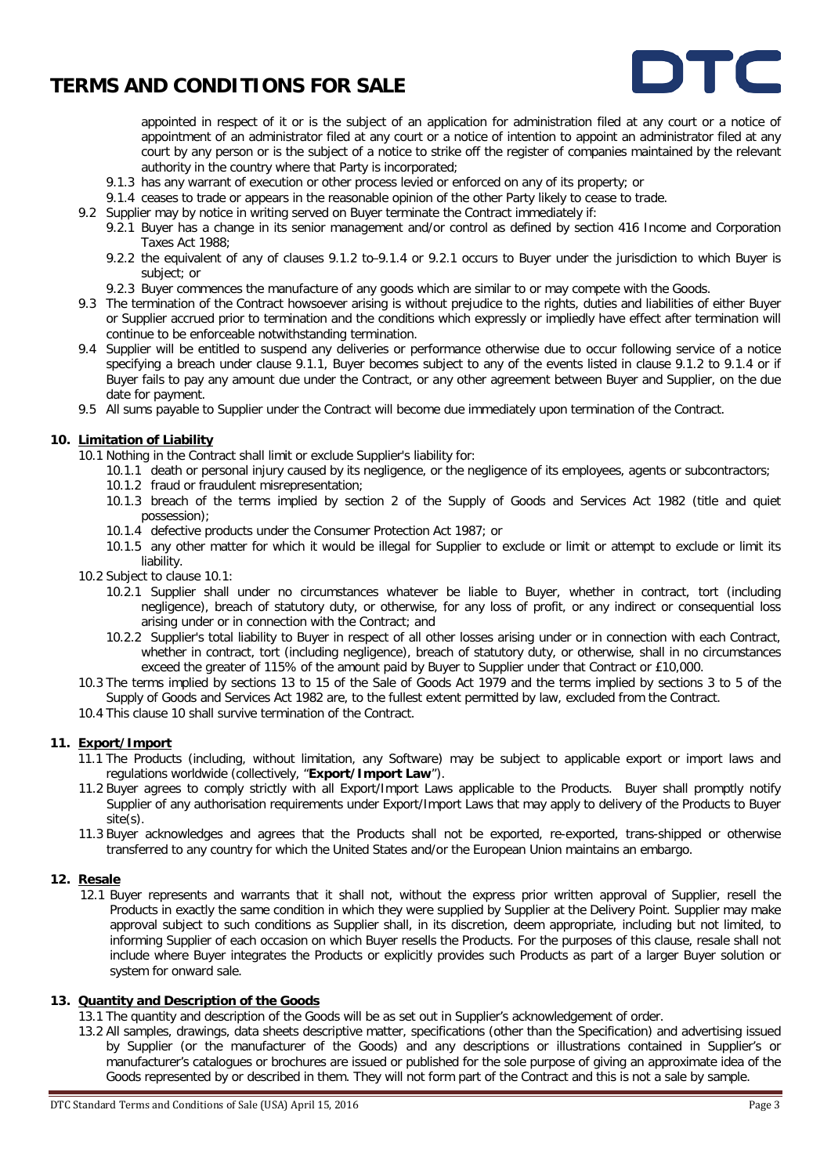

appointed in respect of it or is the subject of an application for administration filed at any court or a notice of appointment of an administrator filed at any court or a notice of intention to appoint an administrator filed at any court by any person or is the subject of a notice to strike off the register of companies maintained by the relevant authority in the country where that Party is incorporated;

- 9.1.3 has any warrant of execution or other process levied or enforced on any of its property; or
- 9.1.4 ceases to trade or appears in the reasonable opinion of the other Party likely to cease to trade.
- 9.2 Supplier may by notice in writing served on Buyer terminate the Contract immediately if:
	- 9.2.1 Buyer has a change in its senior management and/or control as defined by section 416 Income and Corporation Taxes Act 1988;
		- 9.2.2 the equivalent of any of clauses 9.1.2 to-9.1.4 or 9.2.1 occurs to Buyer under the jurisdiction to which Buyer is subject; or
	- 9.2.3 Buyer commences the manufacture of any goods which are similar to or may compete with the Goods.
- 9.3 The termination of the Contract howsoever arising is without prejudice to the rights, duties and liabilities of either Buyer or Supplier accrued prior to termination and the conditions which expressly or impliedly have effect after termination will continue to be enforceable notwithstanding termination.
- 9.4 Supplier will be entitled to suspend any deliveries or performance otherwise due to occur following service of a notice specifying a breach under clause 9.1.1, Buyer becomes subject to any of the events listed in clause 9.1.2 to 9.1.4 or if Buyer fails to pay any amount due under the Contract, or any other agreement between Buyer and Supplier, on the due date for payment.
- 9.5 All sums payable to Supplier under the Contract will become due immediately upon termination of the Contract.

#### **10. Limitation of Liability**

- 10.1 Nothing in the Contract shall limit or exclude Supplier's liability for:
	- 10.1.1 death or personal injury caused by its negligence, or the negligence of its employees, agents or subcontractors;
	- 10.1.2 fraud or fraudulent misrepresentation;
	- 10.1.3 breach of the terms implied by section 2 of the Supply of Goods and Services Act 1982 (title and quiet possession);
	- 10.1.4 defective products under the Consumer Protection Act 1987; or
	- 10.1.5 any other matter for which it would be illegal for Supplier to exclude or limit or attempt to exclude or limit its liability.
- 10.2 Subject to clause 10.1:
	- 10.2.1 Supplier shall under no circumstances whatever be liable to Buyer, whether in contract, tort (including negligence), breach of statutory duty, or otherwise, for any loss of profit, or any indirect or consequential loss arising under or in connection with the Contract; and
	- 10.2.2 Supplier's total liability to Buyer in respect of all other losses arising under or in connection with each Contract, whether in contract, tort (including negligence), breach of statutory duty, or otherwise, shall in no circumstances exceed the greater of 115% of the amount paid by Buyer to Supplier under that Contract or £10,000.
- 10.3 The terms implied by sections 13 to 15 of the Sale of Goods Act 1979 and the terms implied by sections 3 to 5 of the Supply of Goods and Services Act 1982 are, to the fullest extent permitted by law, excluded from the Contract.
- 10.4 This clause 10 shall survive termination of the Contract.

#### **11. Export/Import**

- 11.1 The Products (including, without limitation, any Software) may be subject to applicable export or import laws and regulations worldwide (collectively, "**Export/Import Law**").
- 11.2 Buyer agrees to comply strictly with all Export/Import Laws applicable to the Products. Buyer shall promptly notify Supplier of any authorisation requirements under Export/Import Laws that may apply to delivery of the Products to Buyer site(s).
- 11.3 Buyer acknowledges and agrees that the Products shall not be exported, re-exported, trans-shipped or otherwise transferred to any country for which the United States and/or the European Union maintains an embargo.

#### **12. Resale**

12.1 Buyer represents and warrants that it shall not, without the express prior written approval of Supplier, resell the Products in exactly the same condition in which they were supplied by Supplier at the Delivery Point. Supplier may make approval subject to such conditions as Supplier shall, in its discretion, deem appropriate, including but not limited, to informing Supplier of each occasion on which Buyer resells the Products. For the purposes of this clause, resale shall not include where Buyer integrates the Products or explicitly provides such Products as part of a larger Buyer solution or system for onward sale.

#### **13. Quantity and Description of the Goods**

13.1 The quantity and description of the Goods will be as set out in Supplier's acknowledgement of order.

13.2 All samples, drawings, data sheets descriptive matter, specifications (other than the Specification) and advertising issued by Supplier (or the manufacturer of the Goods) and any descriptions or illustrations contained in Supplier's or manufacturer's catalogues or brochures are issued or published for the sole purpose of giving an approximate idea of the Goods represented by or described in them. They will not form part of the Contract and this is not a sale by sample.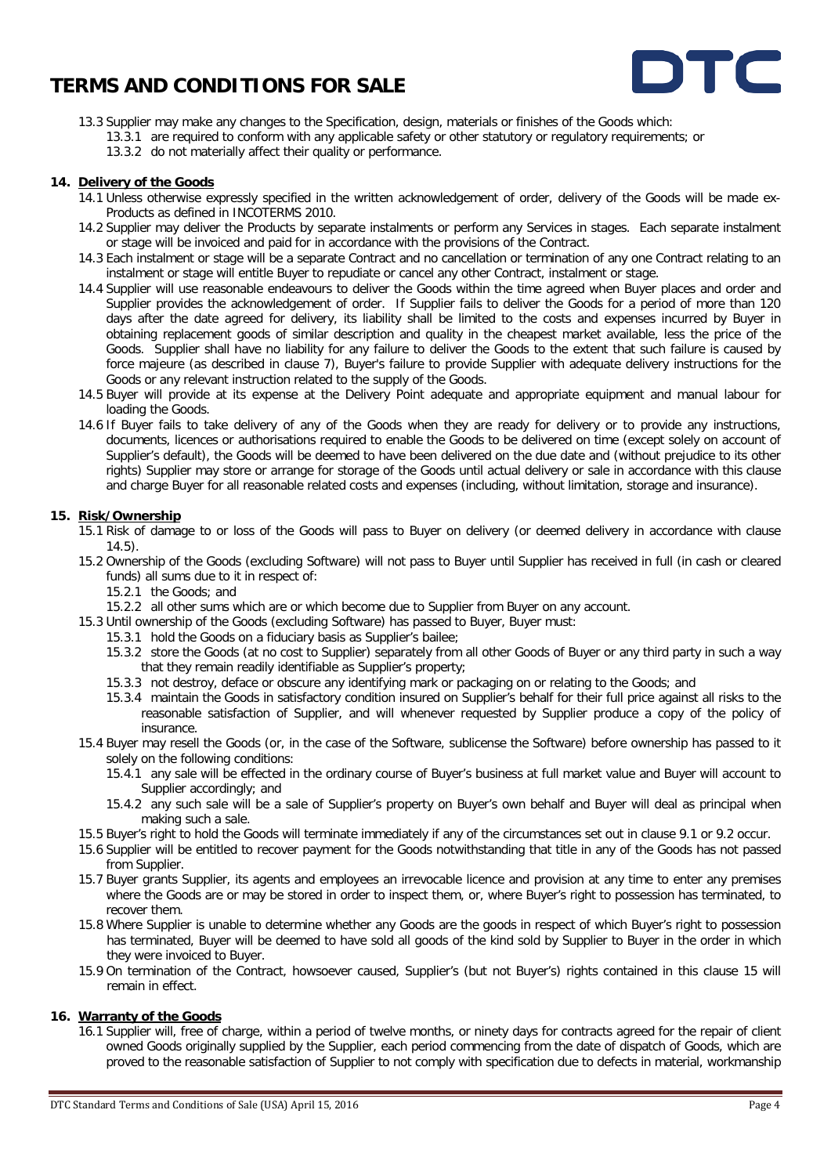

- 13.3 Supplier may make any changes to the Specification, design, materials or finishes of the Goods which:
	- 13.3.1 are required to conform with any applicable safety or other statutory or regulatory requirements; or
		- 13.3.2 do not materially affect their quality or performance.

#### **14. Delivery of the Goods**

- 14.1 Unless otherwise expressly specified in the written acknowledgement of order, delivery of the Goods will be made ex-Products as defined in INCOTERMS 2010.
- 14.2 Supplier may deliver the Products by separate instalments or perform any Services in stages. Each separate instalment or stage will be invoiced and paid for in accordance with the provisions of the Contract.
- 14.3 Each instalment or stage will be a separate Contract and no cancellation or termination of any one Contract relating to an instalment or stage will entitle Buyer to repudiate or cancel any other Contract, instalment or stage.
- 14.4 Supplier will use reasonable endeavours to deliver the Goods within the time agreed when Buyer places and order and Supplier provides the acknowledgement of order. If Supplier fails to deliver the Goods for a period of more than 120 days after the date agreed for delivery, its liability shall be limited to the costs and expenses incurred by Buyer in obtaining replacement goods of similar description and quality in the cheapest market available, less the price of the Goods. Supplier shall have no liability for any failure to deliver the Goods to the extent that such failure is caused by force majeure (as described in clause 7), Buyer's failure to provide Supplier with adequate delivery instructions for the Goods or any relevant instruction related to the supply of the Goods.
- 14.5 Buyer will provide at its expense at the Delivery Point adequate and appropriate equipment and manual labour for loading the Goods.
- 14.6 If Buyer fails to take delivery of any of the Goods when they are ready for delivery or to provide any instructions, documents, licences or authorisations required to enable the Goods to be delivered on time (except solely on account of Supplier's default), the Goods will be deemed to have been delivered on the due date and (without prejudice to its other rights) Supplier may store or arrange for storage of the Goods until actual delivery or sale in accordance with this clause and charge Buyer for all reasonable related costs and expenses (including, without limitation, storage and insurance).

#### **15. Risk/Ownership**

- 15.1 Risk of damage to or loss of the Goods will pass to Buyer on delivery (or deemed delivery in accordance with clause 14.5).
- 15.2 Ownership of the Goods (excluding Software) will not pass to Buyer until Supplier has received in full (in cash or cleared funds) all sums due to it in respect of:
	- 15.2.1 the Goods; and
	- 15.2.2 all other sums which are or which become due to Supplier from Buyer on any account.
- 15.3 Until ownership of the Goods (excluding Software) has passed to Buyer, Buyer must:
	- 15.3.1 hold the Goods on a fiduciary basis as Supplier's bailee;
	- 15.3.2 store the Goods (at no cost to Supplier) separately from all other Goods of Buyer or any third party in such a way that they remain readily identifiable as Supplier's property;
	- 15.3.3 not destroy, deface or obscure any identifying mark or packaging on or relating to the Goods; and
	- 15.3.4 maintain the Goods in satisfactory condition insured on Supplier's behalf for their full price against all risks to the reasonable satisfaction of Supplier, and will whenever requested by Supplier produce a copy of the policy of insurance.
- 15.4 Buyer may resell the Goods (or, in the case of the Software, sublicense the Software) before ownership has passed to it solely on the following conditions:
	- 15.4.1 any sale will be effected in the ordinary course of Buyer's business at full market value and Buyer will account to Supplier accordingly; and
	- 15.4.2 any such sale will be a sale of Supplier's property on Buyer's own behalf and Buyer will deal as principal when making such a sale.
- 15.5 Buyer's right to hold the Goods will terminate immediately if any of the circumstances set out in clause 9.1 or 9.2 occur.
- 15.6 Supplier will be entitled to recover payment for the Goods notwithstanding that title in any of the Goods has not passed from Supplier.
- 15.7 Buyer grants Supplier, its agents and employees an irrevocable licence and provision at any time to enter any premises where the Goods are or may be stored in order to inspect them, or, where Buyer's right to possession has terminated, to recover them.
- 15.8 Where Supplier is unable to determine whether any Goods are the goods in respect of which Buyer's right to possession has terminated, Buyer will be deemed to have sold all goods of the kind sold by Supplier to Buyer in the order in which they were invoiced to Buyer.
- 15.9 On termination of the Contract, howsoever caused, Supplier's (but not Buyer's) rights contained in this clause 15 will remain in effect.

#### **16. Warranty of the Goods**

16.1 Supplier will, free of charge, within a period of twelve months, or ninety days for contracts agreed for the repair of client owned Goods originally supplied by the Supplier, each period commencing from the date of dispatch of Goods, which are proved to the reasonable satisfaction of Supplier to not comply with specification due to defects in material, workmanship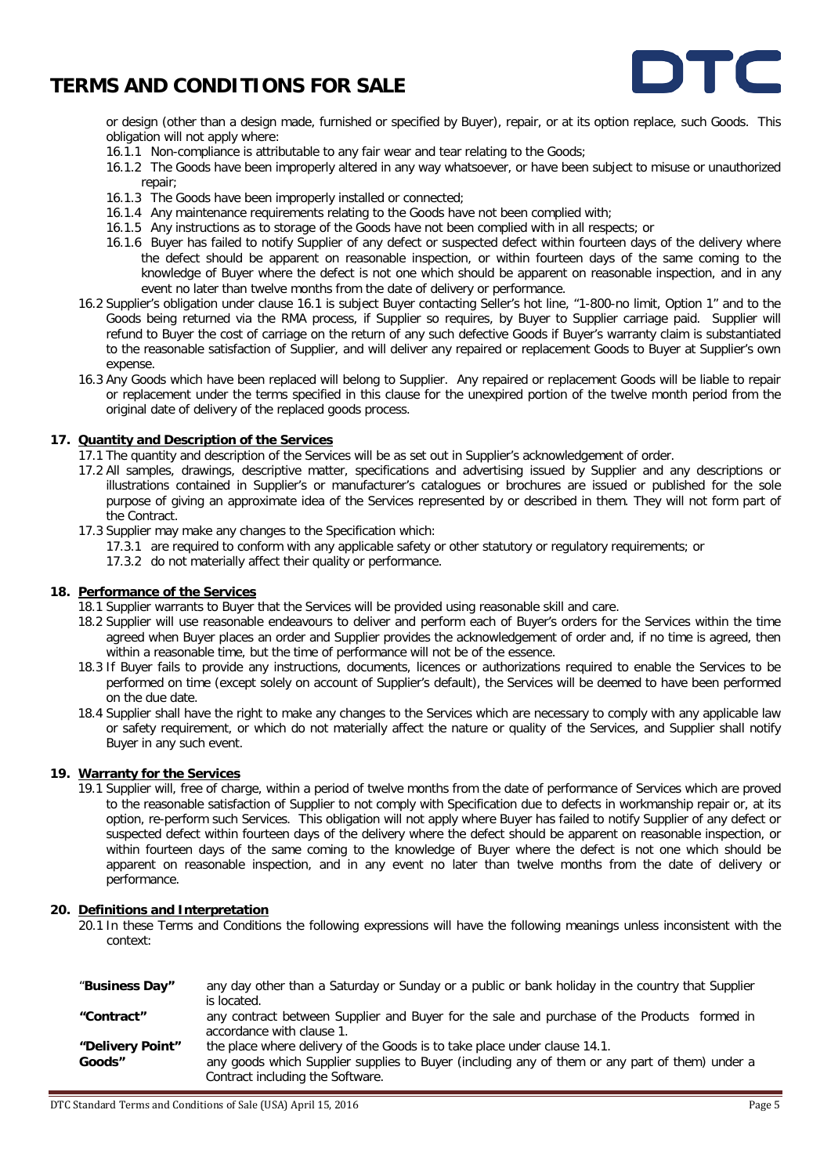

or design (other than a design made, furnished or specified by Buyer), repair, or at its option replace, such Goods. This obligation will not apply where:

- 16.1.1 Non-compliance is attributable to any fair wear and tear relating to the Goods;
- 16.1.2 The Goods have been improperly altered in any way whatsoever, or have been subject to misuse or unauthorized repair;
- 16.1.3 The Goods have been improperly installed or connected;
- 16.1.4 Any maintenance requirements relating to the Goods have not been complied with;
- 16.1.5 Any instructions as to storage of the Goods have not been complied with in all respects; or
- 16.1.6 Buyer has failed to notify Supplier of any defect or suspected defect within fourteen days of the delivery where the defect should be apparent on reasonable inspection, or within fourteen days of the same coming to the knowledge of Buyer where the defect is not one which should be apparent on reasonable inspection, and in any event no later than twelve months from the date of delivery or performance.
- 16.2 Supplier's obligation under clause 16.1 is subject Buyer contacting Seller's hot line, "1-800-no limit, Option 1" and to the Goods being returned via the RMA process, if Supplier so requires, by Buyer to Supplier carriage paid. Supplier will refund to Buyer the cost of carriage on the return of any such defective Goods if Buyer's warranty claim is substantiated to the reasonable satisfaction of Supplier, and will deliver any repaired or replacement Goods to Buyer at Supplier's own expense.
- 16.3 Any Goods which have been replaced will belong to Supplier. Any repaired or replacement Goods will be liable to repair or replacement under the terms specified in this clause for the unexpired portion of the twelve month period from the original date of delivery of the replaced goods process.

#### **17. Quantity and Description of the Services**

- 17.1 The quantity and description of the Services will be as set out in Supplier's acknowledgement of order.
- 17.2 All samples, drawings, descriptive matter, specifications and advertising issued by Supplier and any descriptions or illustrations contained in Supplier's or manufacturer's catalogues or brochures are issued or published for the sole purpose of giving an approximate idea of the Services represented by or described in them. They will not form part of the Contract.
- 17.3 Supplier may make any changes to the Specification which:
	- 17.3.1 are required to conform with any applicable safety or other statutory or regulatory requirements; or
	- 17.3.2 do not materially affect their quality or performance.

## **18. Performance of the Services**

- 18.1 Supplier warrants to Buyer that the Services will be provided using reasonable skill and care.
- 18.2 Supplier will use reasonable endeavours to deliver and perform each of Buyer's orders for the Services within the time agreed when Buyer places an order and Supplier provides the acknowledgement of order and, if no time is agreed, then within a reasonable time, but the time of performance will not be of the essence.
- 18.3 If Buyer fails to provide any instructions, documents, licences or authorizations required to enable the Services to be performed on time (except solely on account of Supplier's default), the Services will be deemed to have been performed on the due date.
- 18.4 Supplier shall have the right to make any changes to the Services which are necessary to comply with any applicable law or safety requirement, or which do not materially affect the nature or quality of the Services, and Supplier shall notify Buyer in any such event.

#### **19. Warranty for the Services**

19.1 Supplier will, free of charge, within a period of twelve months from the date of performance of Services which are proved to the reasonable satisfaction of Supplier to not comply with Specification due to defects in workmanship repair or, at its option, re-perform such Services. This obligation will not apply where Buyer has failed to notify Supplier of any defect or suspected defect within fourteen days of the delivery where the defect should be apparent on reasonable inspection, or within fourteen days of the same coming to the knowledge of Buyer where the defect is not one which should be apparent on reasonable inspection, and in any event no later than twelve months from the date of delivery or performance.

#### **20. Definitions and Interpretation**

20.1 In these Terms and Conditions the following expressions will have the following meanings unless inconsistent with the context:

| "Business Day"   | any day other than a Saturday or Sunday or a public or bank holiday in the country that Supplier |
|------------------|--------------------------------------------------------------------------------------------------|
|                  | is located.                                                                                      |
| "Contract"       | any contract between Supplier and Buyer for the sale and purchase of the Products formed in      |
|                  | accordance with clause 1.                                                                        |
| "Delivery Point" | the place where delivery of the Goods is to take place under clause 14.1.                        |
| Goods"           | any goods which Supplier supplies to Buyer (including any of them or any part of them) under a   |
|                  | Contract including the Software.                                                                 |